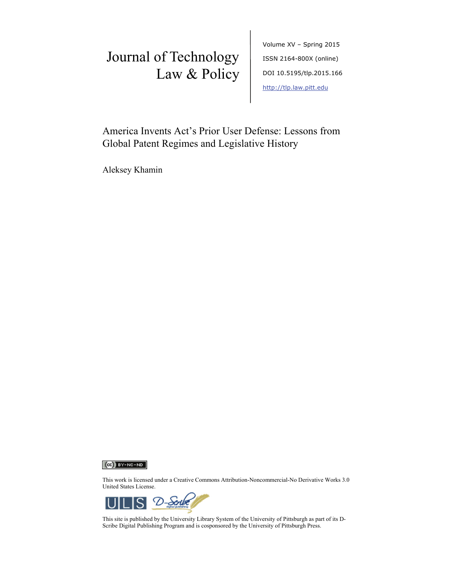# Journal of Technology Law & Policy

Volume XV – Spring 2015 ISSN 2164-800X (online) DOI 10.5195/tlp.2015.166 http://tlp.law.pitt.edu

America Invents Act's Prior User Defense: Lessons from Global Patent Regimes and Legislative History

Aleksey Khamin



This work is licensed under a Creative Commons Attribution-Noncommercial-No Derivative Works 3.0 United States License.



This site is published by the University Library System of the University of Pittsburgh as part of its D-Scribe Digital Publishing Program and is cosponsored by the University of Pittsburgh Press.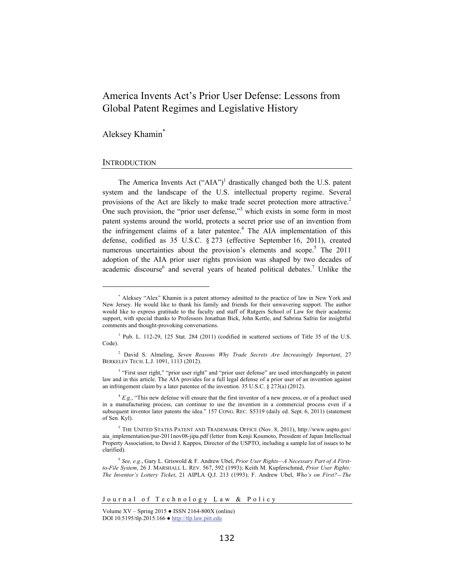## America Invents Act's Prior User Defense: Lessons from Global Patent Regimes and Legislative History

Aleksey Khamin\*

## **INTRODUCTION**

l

The America Invents Act  $("AIA")<sup>1</sup>$  drastically changed both the U.S. patent system and the landscape of the U.S. intellectual property regime. Several provisions of the Act are likely to make trade secret protection more attractive.<sup>2</sup> One such provision, the "prior user defense,"<sup>3</sup> which exists in some form in most patent systems around the world, protects a secret prior use of an invention from the infringement claims of a later patentee.<sup>4</sup> The AIA implementation of this defense, codified as 35 U.S.C. § 273 (effective September 16, 2011), created numerous uncertainties about the provision's elements and scope.<sup>5</sup> The  $2011$ adoption of the AIA prior user rights provision was shaped by two decades of academic discourse<sup>6</sup> and several years of heated political debates.<sup>7</sup> Unlike the

<sup>\*</sup> Aleksey "Alex" Khamin is a patent attorney admitted to the practice of law in New York and New Jersey. He would like to thank his family and friends for their unwavering support. The author would like to express gratitude to the faculty and staff of Rutgers School of Law for their academic support, with special thanks to Professors Jonathan Bick, John Kettle, and Sabrina Safrin for insightful comments and thought-provoking conversations.

<sup>&</sup>lt;sup>1</sup> Pub. L. 112-29, 125 Stat. 284 (2011) (codified in scattered sections of Title 35 of the U.S. Code).

<sup>2</sup> David S. Almeling, *Seven Reasons Why Trade Secrets Are Increasingly Important*, 27 BERKELEY TECH. L.J. 1091, 1113 (2012).

<sup>&</sup>lt;sup>3</sup> "First user right," "prior user right" and "prior user defense" are used interchangeably in patent law and in this article. The AIA provides for a full legal defense of a prior user of an invention against an infringement claim by a later patentee of the invention. 35 U.S.C. § 273(a) (2012).

<sup>4</sup> *E.g.*, "This new defense will ensure that the first inventor of a new process, or of a product used in a manufacturing process, can continue to use the invention in a commercial process even if a subsequent inventor later patents the idea." 157 CONG. REC. S5319 (daily ed. Sept. 6, 2011) (statement of Sen. Kyl).

<sup>5</sup> THE UNITED STATES PATENT AND TRADEMARK OFFICE (Nov. 8, 2011), http://www.uspto.gov/ aia\_implementation/pur-2011nov08-jipa.pdf (letter from Kenji Koumoto, President of Japan Intellectual Property Association, to David J. Kappos, Director of the USPTO, including a sample list of issues to be clarified).

<sup>6</sup> *See, e.g*., Gary L. Griswold & F. Andrew Ubel, *Prior User Rights—A Necessary Part of A Firstto-File System*, 26 J. MARSHALL L. REV. 567, 592 (1993); Keith M. Kupferschmid, *Prior User Rights: The Inventor's Lottery Ticket*, 21 AIPLA Q.J. 213 (1993); F. Andrew Ubel, *Who's on First?—The* 

Journal of Technology Law & Policy

Volume XV – Spring 2015 ● ISSN 2164-800X (online) DOI 10.5195/tlp.2015.166 ● http://tlp.law.pitt.edu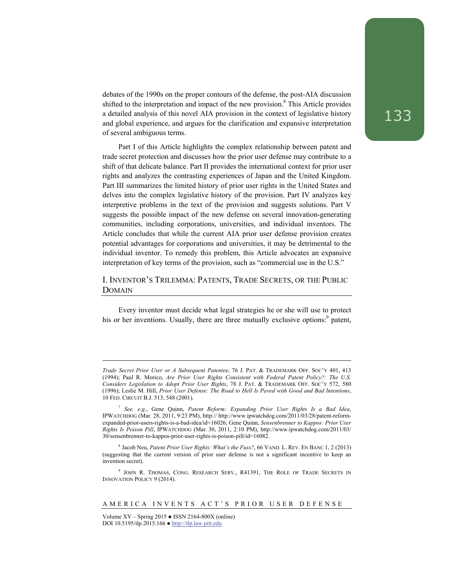debates of the 1990s on the proper contours of the defense, the post-AIA discussion shifted to the interpretation and impact of the new provision.<sup>8</sup> This Article provides a detailed analysis of this novel AIA provision in the context of legislative history and global experience, and argues for the clarification and expansive interpretation of several ambiguous terms.

Part I of this Article highlights the complex relationship between patent and trade secret protection and discusses how the prior user defense may contribute to a shift of that delicate balance. Part II provides the international context for prior user rights and analyzes the contrasting experiences of Japan and the United Kingdom. Part III summarizes the limited history of prior user rights in the United States and delves into the complex legislative history of the provision. Part IV analyzes key interpretive problems in the text of the provision and suggests solutions. Part V suggests the possible impact of the new defense on several innovation-generating communities, including corporations, universities, and individual inventors. The Article concludes that while the current AIA prior user defense provision creates potential advantages for corporations and universities, it may be detrimental to the individual inventor. To remedy this problem, this Article advocates an expansive interpretation of key terms of the provision, such as "commercial use in the U.S."

## I. INVENTOR'S TRILEMMA: PATENTS, TRADE SECRETS, OR THE PUBLIC DOMAIN

Every inventor must decide what legal strategies he or she will use to protect his or her inventions. Usually, there are three mutually exclusive options:<sup>9</sup> patent,

*Trade Secret Prior User or A Subsequent Patentee*, 76 J. PAT. & TRADEMARK OFF. SOC'Y 401, 413 (1994); Paul R. Morico, *Are Prior User Rights Consistent with Federal Patent Policy?: The U.S. Considers Legislation to Adopt Prior User Rights*, 78 J. PAT. & TRADEMARK OFF. SOC'Y 572, 580 (1996); Leslie M. Hill, *Prior User Defense: The Road to Hell Is Paved with Good and Bad Intentions*, 10 FED. CIRCUIT B.J. 513, 548 (2001).

<sup>7</sup> *See, e.g.*, Gene Quinn, *Patent Reform: Expanding Prior User Rights Is a Bad Idea*, IPWATCHDOG (Mar. 28, 2011, 9:23 PM), http:// http://www.ipwatchdog.com/2011/03/28/patent-reformexpanded-prior-users-rights-is-a-bad-idea/id=16026; Gene Quinn, *Sensenbrenner to Kappos: Prior User Rights Is Poison Pill*, IPWATCHDOG (Mar. 30, 2011, 2:10 PM), http://www.ipwatchdog.com/2011/03/ 30/sensenbrenner-to-kappos-prior-user-rights-is-poison-pill/id=16082.

<sup>8</sup> Jacob Neu, *Patent Prior User Rights: What's the Fuss?*, 66 VAND. L. REV. EN BANC 1, 2 (2013) (suggesting that the current version of prior user defense is not a significant incentive to keep an invention secret).

<sup>9</sup> JOHN R. THOMAS, CONG. RESEARCH SERV., R41391, THE ROLE OF TRADE SECRETS IN INNOVATION POLICY 9 (2014).

Volume  $XV -$  Spring 2015  $\bullet$  ISSN 2164-800X (online) DOI 10.5195/tlp.2015.166 ● http://tlp.law.pitt.edu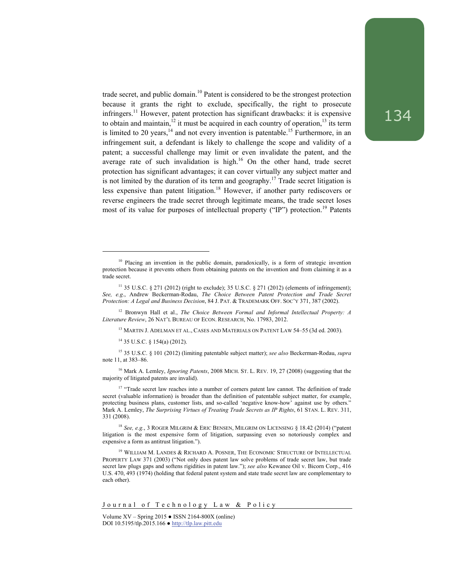trade secret, and public domain.<sup>10</sup> Patent is considered to be the strongest protection because it grants the right to exclude, specifically, the right to prosecute infringers.11 However, patent protection has significant drawbacks: it is expensive to obtain and maintain,<sup>12</sup> it must be acquired in each country of operation,<sup>13</sup> its term is limited to 20 years, $14$  and not every invention is patentable.<sup>15</sup> Furthermore, in an infringement suit, a defendant is likely to challenge the scope and validity of a patent; a successful challenge may limit or even invalidate the patent, and the average rate of such invalidation is high. $16$  On the other hand, trade secret protection has significant advantages; it can cover virtually any subject matter and is not limited by the duration of its term and geography.<sup>17</sup> Trade secret litigation is less expensive than patent litigation.<sup>18</sup> However, if another party rediscovers or reverse engineers the trade secret through legitimate means, the trade secret loses most of its value for purposes of intellectual property ("IP") protection.<sup>19</sup> Patents

<sup>12</sup> Bronwyn Hall et al., *The Choice Between Formal and Informal Intellectual Property: A Literature Review*, 26 NAT'L BUREAU OF ECON. RESEARCH, No. 17983, 2012.

<sup>13</sup> MARTIN J. ADELMAN ET AL., CASES AND MATERIALS ON PATENT LAW 54–55 (3d ed. 2003).

14 35 U.S.C. § 154(a) (2012).

l

15 35 U.S.C. § 101 (2012) (limiting patentable subject matter); *see also* Beckerman-Rodau, *supra* note 11, at 383–86.

16 Mark A. Lemley, *Ignoring Patents*, 2008 MICH. ST. L. REV. 19, 27 (2008) (suggesting that the majority of litigated patents are invalid).

<sup>17</sup> "Trade secret law reaches into a number of corners patent law cannot. The definition of trade secret (valuable information) is broader than the definition of patentable subject matter, for example, protecting business plans, customer lists, and so-called 'negative know-how' against use by others." Mark A. Lemley, *The Surprising Virtues of Treating Trade Secrets as IP Rights*, 61 STAN. L. REV. 311, 331 (2008).

<sup>18</sup> *See, e.g.*, 3 ROGER MILGRIM & ERIC BENSEN, MILGRIM ON LICENSING § 18.42 (2014) ("patent litigation is the most expensive form of litigation, surpassing even so notoriously complex and expensive a form as antitrust litigation.").

<sup>19</sup> WILLIAM M. LANDES & RICHARD A. POSNER, THE ECONOMIC STRUCTURE OF INTELLECTUAL PROPERTY LAW 371 (2003) ("Not only does patent law solve problems of trade secret law, but trade secret law plugs gaps and softens rigidities in patent law."); *see also* Kewanee Oil v. Bicorn Corp., 416 U.S. 470, 493 (1974) (holding that federal patent system and state trade secret law are complementary to each other).

Journal of Technology Law & Policy

<sup>&</sup>lt;sup>10</sup> Placing an invention in the public domain, paradoxically, is a form of strategic invention protection because it prevents others from obtaining patents on the invention and from claiming it as a trade secret.

<sup>&</sup>lt;sup>11</sup> 35 U.S.C. § 271 (2012) (right to exclude); 35 U.S.C. § 271 (2012) (elements of infringement); *See, e.g*., Andrew Beckerman-Rodau, *The Choice Between Patent Protection and Trade Secret Protection: A Legal and Business Decision*, 84 J. PAT. & TRADEMARK OFF. SOC'Y 371, 387 (2002).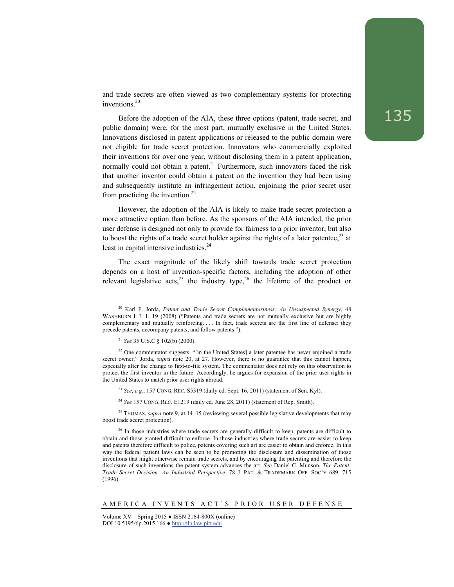and trade secrets are often viewed as two complementary systems for protecting inventions.20

Before the adoption of the AIA, these three options (patent, trade secret, and public domain) were, for the most part, mutually exclusive in the United States. Innovations disclosed in patent applications or released to the public domain were not eligible for trade secret protection. Innovators who commercially exploited their inventions for over one year, without disclosing them in a patent application, normally could not obtain a patent.<sup>21</sup> Furthermore, such innovators faced the risk that another inventor could obtain a patent on the invention they had been using and subsequently institute an infringement action, enjoining the prior secret user from practicing the invention. $^{22}$ 

However, the adoption of the AIA is likely to make trade secret protection a more attractive option than before. As the sponsors of the AIA intended, the prior user defense is designed not only to provide for fairness to a prior inventor, but also to boost the rights of a trade secret holder against the rights of a later patentee,  $^{23}$  at least in capital intensive industries.<sup>24</sup>

The exact magnitude of the likely shift towards trade secret protection depends on a host of invention-specific factors, including the adoption of other relevant legislative acts,<sup>25</sup> the industry type,<sup>26</sup> the lifetime of the product or

<sup>21</sup> *See* 35 U.S.C § 102(b) (2000).

l

- <sup>23</sup> *See, e.g.*, 157 CONG. REC. S5319 (daily ed. Sept. 16, 2011) (statement of Sen. Kyl).
- <sup>24</sup> See 157 CONG. REC. E1219 (daily ed. June 28, 2011) (statement of Rep. Smith).

<sup>25</sup> THOMAS, *supra* note 9, at 14–15 (reviewing several possible legislative developments that may boost trade secret protection).

<sup>20</sup> Karl F. Jorda, *Patent and Trade Secret Complementariness: An Unsuspected Synergy*, 48 WASHBURN L.J. 1, 19 (2008) ("Patents and trade secrets are not mutually exclusive but are highly complementary and mutually reinforcing. . . . In fact, trade secrets are the first line of defense: they precede patents, accompany patents, and follow patents.").

<sup>&</sup>lt;sup>22</sup> One commentator suggests, "[in the United States] a later patentee has never enjoined a trade secret owner." Jorda, *supra* note 20, at 27. However, there is no guarantee that this cannot happen, especially after the change to first-to-file system. The commentator does not rely on this observation to protect the first inventor in the future. Accordingly, he argues for expansion of the prior user rights in the United States to match prior user rights abroad.

<sup>&</sup>lt;sup>26</sup> In those industries where trade secrets are generally difficult to keep, patents are difficult to obtain and those granted difficult to enforce. In those industries where trade secrets are easier to keep and patents therefore difficult to police, patents covering such art are easier to obtain and enforce. In this way the federal patient laws can be seen to be promoting the disclosure and dissemination of those inventions that might otherwise remain trade secrets, and by encouraging the patenting and therefore the disclosure of such inventions the patent system advances the art. *See* Daniel C. Munson, *The Patent-Trade Secret Decision: An Industrial Perspective*, 78 J. PAT. & TRADEMARK OFF. SOC'Y 689, 715 (1996).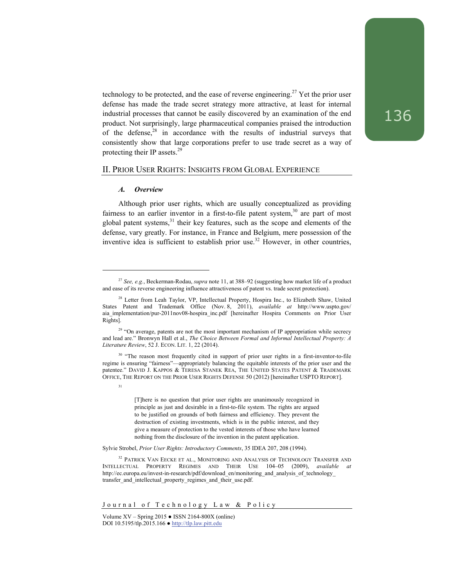technology to be protected, and the ease of reverse engineering.<sup>27</sup> Yet the prior user defense has made the trade secret strategy more attractive, at least for internal industrial processes that cannot be easily discovered by an examination of the end product. Not surprisingly, large pharmaceutical companies praised the introduction of the defense, $28$  in accordance with the results of industrial surveys that consistently show that large corporations prefer to use trade secret as a way of protecting their IP assets.<sup>29</sup>

## II. PRIOR USER RIGHTS: INSIGHTS FROM GLOBAL EXPERIENCE

#### *A. Overview*

l

31

Although prior user rights, which are usually conceptualized as providing fairness to an earlier inventor in a first-to-file patent system, $30$  are part of most global patent systems, $31$  their key features, such as the scope and elements of the defense, vary greatly. For instance, in France and Belgium, mere possession of the inventive idea is sufficient to establish prior use.<sup>32</sup> However, in other countries,

 [T]here is no question that prior user rights are unanimously recognized in principle as just and desirable in a first-to-file system. The rights are argued to be justified on grounds of both fairness and efficiency. They prevent the destruction of existing investments, which is in the public interest, and they give a measure of protection to the vested interests of those who have learned nothing from the disclosure of the invention in the patent application.

Sylvie Strobel, *Prior User Rights: Introductory Comments*, 35 IDEA 207, 208 (1994).

<sup>27</sup> *See, e.g.*, Beckerman-Rodau, *supra* note 11, at 388–92 (suggesting how market life of a product and ease of its reverse engineering influence attractiveness of patent vs. trade secret protection).

<sup>&</sup>lt;sup>28</sup> Letter from Leah Taylor, VP, Intellectual Property, Hospira Inc., to Elizabeth Shaw, United States Patent and Trademark Office (Nov. 8, 2011), *available at* http://www.uspto.gov/ aia\_implementation/pur-2011nov08-hospira\_inc.pdf [hereinafter Hospira Comments on Prior User Rights].

<sup>&</sup>lt;sup>29</sup> "On average, patents are not the most important mechanism of IP appropriation while secrecy and lead are." Bronwyn Hall et al., *The Choice Between Formal and Informal Intellectual Property: A Literature Review*, 52 J. ECON. LIT. 1, 22 (2014).

<sup>&</sup>lt;sup>30</sup> "The reason most frequently cited in support of prior user rights in a first-inventor-to-file regime is ensuring "fairness"—appropriately balancing the equitable interests of the prior user and the patentee." DAVID J. KAPPOS & TERESA STANEK REA, THE UNITED STATES PATENT & TRADEMARK OFFICE, THE REPORT ON THE PRIOR USER RIGHTS DEFENSE 50 (2012) [hereinafter USPTO REPORT].

<sup>&</sup>lt;sup>32</sup> PATRICK VAN EECKE ET AL., MONITORING AND ANALYSIS OF TECHNOLOGY TRANSFER AND INTELLECTUAL PROPERTY REGIMES AND THEIR USE 104–05 (2009), *available at* http://ec.europa.eu/invest-in-research/pdf/download\_en/monitoring\_and\_analysis\_of\_technology\_ transfer\_and\_intellectual\_property\_regimes\_and\_their\_use.pdf.

Journal of Technology Law & Policy

Volume XV – Spring 2015 ● ISSN 2164-800X (online) DOI 10.5195/tlp.2015.166 ● http://tlp.law.pitt.edu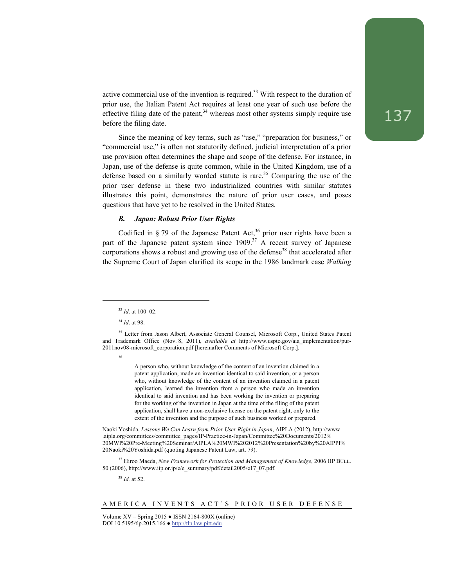active commercial use of the invention is required.<sup>33</sup> With respect to the duration of prior use, the Italian Patent Act requires at least one year of such use before the effective filing date of the patent, $34$  whereas most other systems simply require use before the filing date.

Since the meaning of key terms, such as "use," "preparation for business," or "commercial use," is often not statutorily defined, judicial interpretation of a prior use provision often determines the shape and scope of the defense. For instance, in Japan, use of the defense is quite common, while in the United Kingdom, use of a defense based on a similarly worded statute is rare.<sup>35</sup> Comparing the use of the prior user defense in these two industrialized countries with similar statutes illustrates this point, demonstrates the nature of prior user cases, and poses questions that have yet to be resolved in the United States.

### *B. Japan: Robust Prior User Rights*

Codified in  $\S$  79 of the Japanese Patent Act,<sup>36</sup> prior user rights have been a part of the Japanese patent system since  $1909$ <sup>37</sup> A recent survey of Japanese corporations shows a robust and growing use of the defense<sup>38</sup> that accelerated after the Supreme Court of Japan clarified its scope in the 1986 landmark case *Walking* 

l

A person who, without knowledge of the content of an invention claimed in a patent application, made an invention identical to said invention, or a person who, without knowledge of the content of an invention claimed in a patent application, learned the invention from a person who made an invention identical to said invention and has been working the invention or preparing for the working of the invention in Japan at the time of the filing of the patent application, shall have a non-exclusive license on the patent right, only to the extent of the invention and the purpose of such business worked or prepared.

Naoki Yoshida, *Lessons We Can Learn from Prior User Right in Japan*, AIPLA (2012), http://www .aipla.org/committees/committee\_pages/IP-Practice-in-Japan/Committee%20Documents/2012% 20MWI%20Pre-Meeting%20Seminar/AIPLA%20MWI%202012%20Presentation%20by%20AIPPI% 20Naoki%20Yoshida.pdf (quoting Japanese Patent Law, art. 79).

37 Hiroo Maeda, *New Framework for Protection and Management of Knowledge*, 2006 IIP BULL. 50 (2006), http://www.iip.or.jp/e/e\_summary/pdf/detail2005/e17\_07.pdf.

<sup>38</sup> *Id.* at 52.

<sup>33</sup> *Id*. at 100–02.

<sup>34</sup> *Id*. at 98.

<sup>&</sup>lt;sup>35</sup> Letter from Jason Albert, Associate General Counsel, Microsoft Corp., United States Patent and Trademark Office (Nov. 8, 2011), *available at* http://www.uspto.gov/aia\_implementation/pur-2011nov08-microsoft\_corporation.pdf [hereinafter Comments of Microsoft Corp.].

<sup>36</sup>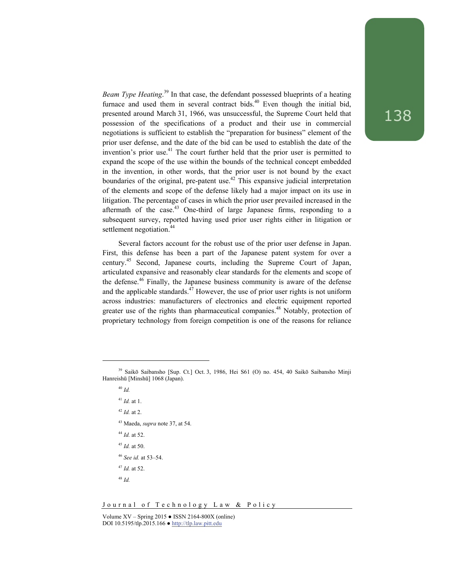*Beam Type Heating*. 39 In that case, the defendant possessed blueprints of a heating furnace and used them in several contract bids. $40$  Even though the initial bid, presented around March 31, 1966, was unsuccessful, the Supreme Court held that possession of the specifications of a product and their use in commercial negotiations is sufficient to establish the "preparation for business" element of the prior user defense, and the date of the bid can be used to establish the date of the invention's prior use. $41$  The court further held that the prior user is permitted to expand the scope of the use within the bounds of the technical concept embedded in the invention, in other words, that the prior user is not bound by the exact boundaries of the original, pre-patent use.<sup>42</sup> This expansive judicial interpretation of the elements and scope of the defense likely had a major impact on its use in litigation. The percentage of cases in which the prior user prevailed increased in the aftermath of the case.<sup>43</sup> One-third of large Japanese firms, responding to a subsequent survey, reported having used prior user rights either in litigation or settlement negotiation.<sup>44</sup>

Several factors account for the robust use of the prior user defense in Japan. First, this defense has been a part of the Japanese patent system for over a century.45 Second, Japanese courts, including the Supreme Court of Japan, articulated expansive and reasonably clear standards for the elements and scope of the defense.<sup>46</sup> Finally, the Japanese business community is aware of the defense and the applicable standards.<sup>47</sup> However, the use of prior user rights is not uniform across industries: manufacturers of electronics and electric equipment reported greater use of the rights than pharmaceutical companies.<sup>48</sup> Notably, protection of proprietary technology from foreign competition is one of the reasons for reliance

- <sup>42</sup> *Id.* at 2.
- 43 Maeda, *supra* note 37, at 54.
- <sup>44</sup> *Id.* at 52.
- <sup>45</sup> *Id.* at 50.
- <sup>46</sup> *See id.* at 53–54.
- <sup>47</sup> *Id.* at 52.
- <sup>48</sup> *Id.*

<sup>39</sup> Saikō Saibansho [Sup. Ct.] Oct. 3, 1986, Hei S61 (O) no. 454, 40 Saikō Saibansho Minji Hanreishū [Minshū] 1068 (Japan).

<sup>40</sup> *Id.* 

<sup>41</sup> *Id.* at 1.

Volume  $XV -$  Spring 2015  $\bullet$  ISSN 2164-800X (online) DOI 10.5195/tlp.2015.166 ● http://tlp.law.pitt.edu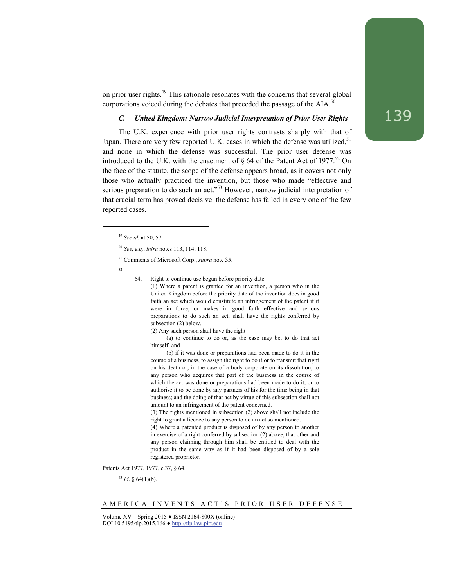on prior user rights.49 This rationale resonates with the concerns that several global corporations voiced during the debates that preceded the passage of the AIA.<sup>50</sup>

## *C. United Kingdom: Narrow Judicial Interpretation of Prior User Rights*

The U.K. experience with prior user rights contrasts sharply with that of Japan. There are very few reported U.K. cases in which the defense was utilized,  $51$ and none in which the defense was successful. The prior user defense was introduced to the U.K. with the enactment of  $\S 64$  of the Patent Act of 1977.<sup>52</sup> On the face of the statute, the scope of the defense appears broad, as it covers not only those who actually practiced the invention, but those who made "effective and serious preparation to do such an act."<sup>53</sup> However, narrow judicial interpretation of that crucial term has proved decisive: the defense has failed in every one of the few reported cases.

 $52$ 

l

64. Right to continue use begun before priority date.

(1) Where a patent is granted for an invention, a person who in the United Kingdom before the priority date of the invention does in good faith an act which would constitute an infringement of the patent if it were in force, or makes in good faith effective and serious preparations to do such an act, shall have the rights conferred by subsection (2) below.

(2) Any such person shall have the right—

(a) to continue to do or, as the case may be, to do that act himself; and

(b) if it was done or preparations had been made to do it in the course of a business, to assign the right to do it or to transmit that right on his death or, in the case of a body corporate on its dissolution, to any person who acquires that part of the business in the course of which the act was done or preparations had been made to do it, or to authorise it to be done by any partners of his for the time being in that business; and the doing of that act by virtue of this subsection shall not amount to an infringement of the patent concerned.

(3) The rights mentioned in subsection (2) above shall not include the right to grant a licence to any person to do an act so mentioned.

(4) Where a patented product is disposed of by any person to another in exercise of a right conferred by subsection (2) above, that other and any person claiming through him shall be entitled to deal with the product in the same way as if it had been disposed of by a sole registered proprietor.

Patents Act 1977, 1977, c.37, § 64.

 $53$  *Id.* § 64(1)(b).

<sup>49</sup> *See id.* at 50, 57.

<sup>50</sup> *See, e.g.*, *infra* notes 113, 114, 118.

<sup>51</sup> Comments of Microsoft Corp., *supra* note 35.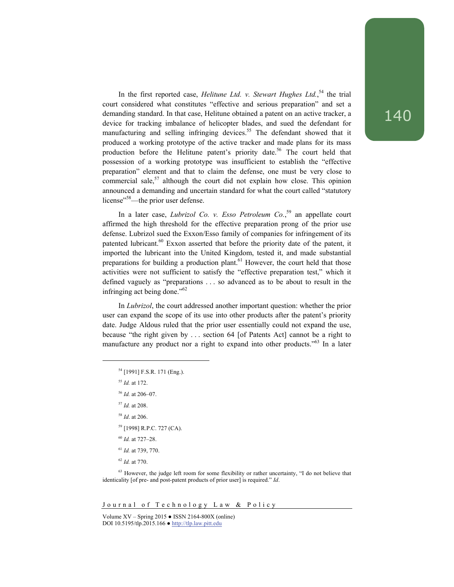In the first reported case, *Helitune Ltd. v. Stewart Hughes Ltd.*,<sup>54</sup> the trial court considered what constitutes "effective and serious preparation" and set a demanding standard. In that case, Helitune obtained a patent on an active tracker, a device for tracking imbalance of helicopter blades, and sued the defendant for manufacturing and selling infringing devices.<sup>55</sup> The defendant showed that it produced a working prototype of the active tracker and made plans for its mass production before the Helitune patent's priority date.<sup>56</sup> The court held that possession of a working prototype was insufficient to establish the "effective preparation" element and that to claim the defense, one must be very close to commercial sale,<sup>57</sup> although the court did not explain how close. This opinion announced a demanding and uncertain standard for what the court called "statutory license"<sup>58</sup>—the prior user defense.

In a later case, *Lubrizol Co. v. Esso Petroleum Co.*, 59 an appellate court affirmed the high threshold for the effective preparation prong of the prior use defense. Lubrizol sued the Exxon/Esso family of companies for infringement of its patented lubricant.<sup>60</sup> Exxon asserted that before the priority date of the patent, it imported the lubricant into the United Kingdom, tested it, and made substantial preparations for building a production plant.<sup>61</sup> However, the court held that those activities were not sufficient to satisfy the "effective preparation test," which it defined vaguely as "preparations . . . so advanced as to be about to result in the infringing act being done."62

In *Lubrizol*, the court addressed another important question: whether the prior user can expand the scope of its use into other products after the patent's priority date. Judge Aldous ruled that the prior user essentially could not expand the use, because "the right given by . . . section 64 [of Patents Act] cannot be a right to manufacture any product nor a right to expand into other products.<sup>563</sup> In a later

- 54 [1991] F.S.R. 171 (Eng.).
- <sup>55</sup> *Id.* at 172.

l

- <sup>56</sup> *Id.* at 206–07.
- <sup>57</sup> *Id.* at 208.
- <sup>58</sup> *Id*. at 206.
- 59 [1998] R.P.C. 727 (CA).
- <sup>60</sup> *Id.* at 727–28.
- <sup>61</sup> *Id.* at 739, 770.
- <sup>62</sup> *Id.* at 770.

Journal of Technology Law & Policy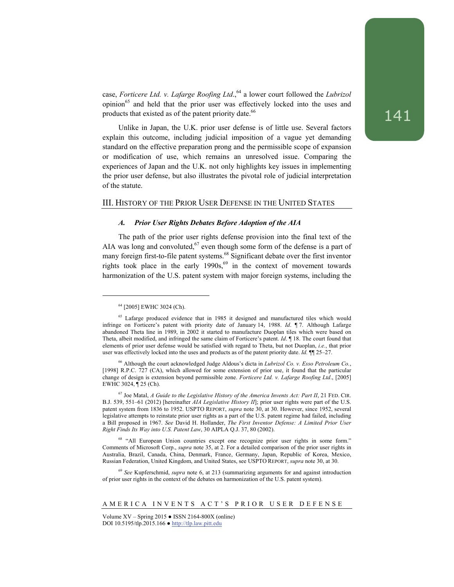case, *Forticere Ltd. v. Lafarge Roofing Ltd.*,<sup>64</sup> a lower court followed the *Lubrizol* opinion<sup>65</sup> and held that the prior user was effectively locked into the uses and products that existed as of the patent priority date.<sup>66</sup>

Unlike in Japan, the U.K. prior user defense is of little use. Several factors explain this outcome, including judicial imposition of a vague yet demanding standard on the effective preparation prong and the permissible scope of expansion or modification of use, which remains an unresolved issue. Comparing the experiences of Japan and the U.K. not only highlights key issues in implementing the prior user defense, but also illustrates the pivotal role of judicial interpretation of the statute.

## III. HISTORY OF THE PRIOR USER DEFENSE IN THE UNITED STATES

#### *A. Prior User Rights Debates Before Adoption of the AIA*

The path of the prior user rights defense provision into the final text of the AIA was long and convoluted,<sup>67</sup> even though some form of the defense is a part of many foreign first-to-file patent systems.<sup>68</sup> Significant debate over the first inventor rights took place in the early  $1990s$ ,  $69$  in the context of movement towards harmonization of the U.S. patent system with major foreign systems, including the

l

<sup>64 [2005]</sup> EWHC 3024 (Ch).

<sup>&</sup>lt;sup>65</sup> Lafarge produced evidence that in 1985 it designed and manufactured tiles which would infringe on Forticere's patent with priority date of January 14, 1988. *Id*. ¶ 7. Although Lafarge abandoned Theta line in 1989, in 2002 it started to manufacture Duoplan tiles which were based on Theta, albeit modified, and infringed the same claim of Forticere's patent. *Id*. ¶ 18. The court found that elements of prior user defense would be satisfied with regard to Theta, but not Duoplan, *i.e.*, that prior user was effectively locked into the uses and products as of the patent priority date. *Id.* ¶¶ 25–27.

<sup>66</sup> Although the court acknowledged Judge Aldous's dicta in *Lubrizol Co. v. Esso Petroleum Co.*, [1998] R.P.C. 727 (CA), which allowed for some extension of prior use, it found that the particular change of design is extension beyond permissible zone. *Forticere Ltd. v. Lafarge Roofing Ltd*., [2005] EWHC 3024, ¶ 25 (Ch).

<sup>67</sup> Joe Matal, *A Guide to the Legislative History of the America Invents Act: Part II*, 21 FED. CIR. B.J. 539, 551–61 (2012) [hereinafter *AIA Legislative History II*]; prior user rights were part of the U.S. patent system from 1836 to 1952. USPTO REPORT, *supra* note 30, at 30. However, since 1952, several legislative attempts to reinstate prior user rights as a part of the U.S. patent regime had failed, including a Bill proposed in 1967. *See* David H. Hollander, *The First Inventor Defense: A Limited Prior User Right Finds Its Way into U.S. Patent Law*, 30 AIPLA Q.J. 37, 80 (2002).

<sup>&</sup>lt;sup>68</sup> "All European Union countries except one recognize prior user rights in some form." Comments of Microsoft Corp., *supra* note 35, at 2. For a detailed comparison of the prior user rights in Australia, Brazil, Canada, China, Denmark, France, Germany, Japan, Republic of Korea, Mexico, Russian Federation, United Kingdom, and United States, see USPTO REPORT, *supra* note 30, at 30.

<sup>69</sup> *See* Kupferschmid, *supra* note 6, at 213 (summarizing arguments for and against introduction of prior user rights in the context of the debates on harmonization of the U.S. patent system).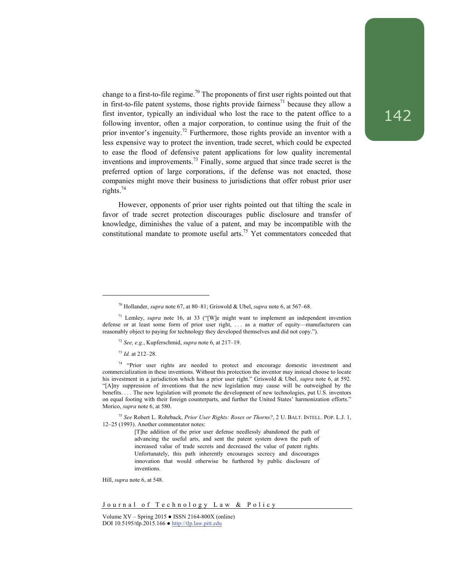change to a first-to-file regime.<sup>70</sup> The proponents of first user rights pointed out that in first-to-file patent systems, those rights provide fairness<sup>71</sup> because they allow a first inventor, typically an individual who lost the race to the patent office to a following inventor, often a major corporation, to continue using the fruit of the prior inventor's ingenuity.<sup>72</sup> Furthermore, those rights provide an inventor with a less expensive way to protect the invention, trade secret, which could be expected to ease the flood of defensive patent applications for low quality incremental inventions and improvements.<sup>73</sup> Finally, some argued that since trade secret is the preferred option of large corporations, if the defense was not enacted, those companies might move their business to jurisdictions that offer robust prior user rights.74

However, opponents of prior user rights pointed out that tilting the scale in favor of trade secret protection discourages public disclosure and transfer of knowledge, diminishes the value of a patent, and may be incompatible with the constitutional mandate to promote useful arts.<sup>75</sup> Yet commentators conceded that

<sup>73</sup> *Id.* at 212–28.

l

Hill, *supra* note 6, at 548.

Journal of Technology Law & Policy

<sup>70</sup> Hollander, *supra* note 67, at 80–81; Griswold & Ubel, *supra* note 6, at 567–68.

<sup>71</sup> Lemley, *supra* note 16, at 33 ("[W]e might want to implement an independent invention defense or at least some form of prior user right, ... as a matter of equity---manufacturers can reasonably object to paying for technology they developed themselves and did not copy.").

<sup>72</sup> *See, e.g.*, Kupferschmid, *supra* note 6, at 217–19.

<sup>&</sup>lt;sup>74</sup> "Prior user rights are needed to protect and encourage domestic investment and commercialization in these inventions. Without this protection the inventor may instead choose to locate his investment in a jurisdiction which has a prior user right." Griswold & Ubel, *supra* note 6, at 592. "[A]ny suppression of inventions that the new legislation may cause will be outweighed by the benefits. . . . The new legislation will promote the development of new technologies, put U.S. inventors on equal footing with their foreign counterparts, and further the United States' harmonization efforts." Morico, *supra* note 6, at 580.

<sup>75</sup> *See* Robert L. Rohrback, *Prior User Rights: Roses or Thorns?*, 2 U. BALT. INTELL. POP. L.J. 1, 12–25 (1993). Another commentator notes:

<sup>[</sup>T]he addition of the prior user defense needlessly abandoned the path of advancing the useful arts, and sent the patent system down the path of increased value of trade secrets and decreased the value of patent rights. Unfortunately, this path inherently encourages secrecy and discourages innovation that would otherwise be furthered by public disclosure of inventions.

Volume XV – Spring 2015 ● ISSN 2164-800X (online) DOI 10.5195/tlp.2015.166 ● http://tlp.law.pitt.edu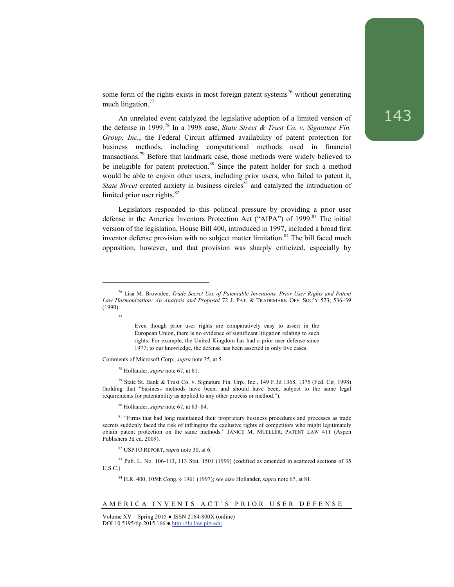some form of the rights exists in most foreign patent systems<sup>76</sup> without generating much litigation.<sup>77</sup>

An unrelated event catalyzed the legislative adoption of a limited version of the defense in 1999.78 In a 1998 case, *State Street & Trust Co. v. Signature Fin. Group, Inc.*, the Federal Circuit affirmed availability of patent protection for business methods, including computational methods used in financial transactions.79 Before that landmark case, those methods were widely believed to be ineligible for patent protection. $80$  Since the patent holder for such a method would be able to enjoin other users, including prior users, who failed to patent it, *State Street* created anxiety in business circles<sup>81</sup> and catalyzed the introduction of limited prior user rights. $82$ 

Legislators responded to this political pressure by providing a prior user defense in the America Inventors Protection Act ("AIPA") of 1999.<sup>83</sup> The initial version of the legislation, House Bill 400, introduced in 1997, included a broad first inventor defense provision with no subject matter limitation. $84$  The bill faced much opposition, however, and that provision was sharply criticized, especially by

l

Comments of Microsoft Corp., *supra* note 35, at 5.

78 Hollander, *supra* note 67, at 81.

 $79$  State St. Bank & Trust Co. v. Signature Fin. Grp., Inc., 149 F.3d 1368, 1375 (Fed. Cir. 1998) (holding that "business methods have been, and should have been, subject to the same legal requirements for patentability as applied to any other process or method.").

80 Hollander, *supra* note 67, at 83–84.

82 USPTO REPORT, *supra* note 30, at 6.

83 Pub. L. No. 106-113, 113 Stat. 1501 (1999) (codified as amended in scattered sections of 35 U.S.C.).

84 H.R. 400, 105th Cong. § 1961 (1997); *see also* Hollander, *supra* note 67, at 81.

## AMERICA INVENTS ACT'S PRIOR USER DEFENSE

<sup>76</sup> Lisa M. Brownlee, *Trade Secret Use of Patentable Inventions, Prior User Rights and Patent Law Harmonization: An Analysis and Proposal* 72 J. PAT. & TRADEMARK OFF. SOC'Y 523, 536–39 (1990).

<sup>77</sup> 

Even though prior user rights are comparatively easy to assert in the European Union, there is no evidence of significant litigation relating to such rights. For example, the United Kingdom has had a prior user defense since 1977; to our knowledge, the defense has been asserted in only five cases.

<sup>&</sup>lt;sup>81</sup> "Firms that had long maintained their proprietary business procedures and processes as trade secrets suddenly faced the risk of infringing the exclusive rights of competitors who might legitimately obtain patent protection on the same methods." JANICE M. MUELLER, PATENT LAW 411 (Aspen Publishers 3d ed. 2009).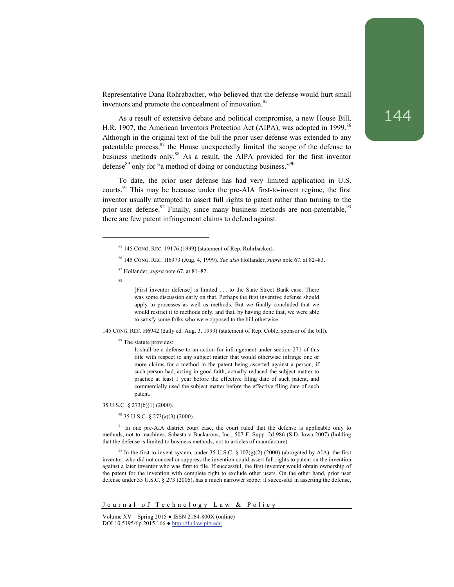Representative Dana Rohrabacher, who believed that the defense would hurt small inventors and promote the concealment of innovation.<sup>85</sup>

As a result of extensive debate and political compromise, a new House Bill, H.R. 1907, the American Inventors Protection Act (AIPA), was adopted in 1999.<sup>86</sup> Although in the original text of the bill the prior user defense was extended to any patentable process, $87$  the House unexpectedly limited the scope of the defense to business methods only.<sup>88</sup> As a result, the AIPA provided for the first inventor defense $89$  only for "a method of doing or conducting business." $90$ 

To date, the prior user defense has had very limited application in U.S. courts.<sup>91</sup> This may be because under the pre-AIA first-to-invent regime, the first inventor usually attempted to assert full rights to patent rather than turning to the prior user defense.<sup>92</sup> Finally, since many business methods are non-patentable.<sup>93</sup> there are few patent infringement claims to defend against.

88

l

[First inventor defense] is limited . . . to the State Street Bank case. There was some discussion early on that. Perhaps the first inventive defense should apply to processes as well as methods. But we finally concluded that we would restrict it to methods only, and that, by having done that, we were able to satisfy some folks who were opposed to the bill otherwise.

145 CONG. REC. H6942 (daily ed. Aug. 3, 1999) (statement of Rep. Coble, sponsor of the bill).

<sup>89</sup> The statute provides:

It shall be a defense to an action for infringement under section 271 of this title with respect to any subject matter that would otherwise infringe one or more claims for a method in the patent being asserted against a person, if such person had, acting in good faith, actually reduced the subject matter to practice at least 1 year before the effective filing date of such patent, and commercially used the subject matter before the effective filing date of such patent.

35 U.S.C. § 273(b)(1) (2000).

90 35 U.S.C. § 273(a)(3) (2000).

<sup>91</sup> In one pre-AIA district court case, the court ruled that the defense is applicable only to methods, not to machines. Sabasta v Buckaroos, Inc., 507 F. Supp. 2d 986 (S.D. Iowa 2007) (holding that the defense is limited to business methods, not to articles of manufacture).

<sup>92</sup> In the first-to-invent system, under 35 U.S.C. § 102(g)(2) (2000) (abrogated by AIA), the first inventor, who did not conceal or suppress the invention could assert full rights to patent on the invention against a later inventor who was first to file. If successful, the first inventor would obtain ownership of the patent for the invention with complete right to exclude other users. On the other hand, prior user defense under 35 U.S.C. § 273 (2006), has a much narrower scope: if successful in asserting the defense,

Journal of Technology Law & Policy

<sup>85 145</sup> CONG. REC. 19176 (1999) (statement of Rep. Rohrbacker).

<sup>86 145</sup> CONG. REC. H6973 (Aug. 4, 1999). *See also* Hollander, *supra* note 67, at 82–83.

<sup>87</sup> Hollander, *supra* note 67, at 81–82.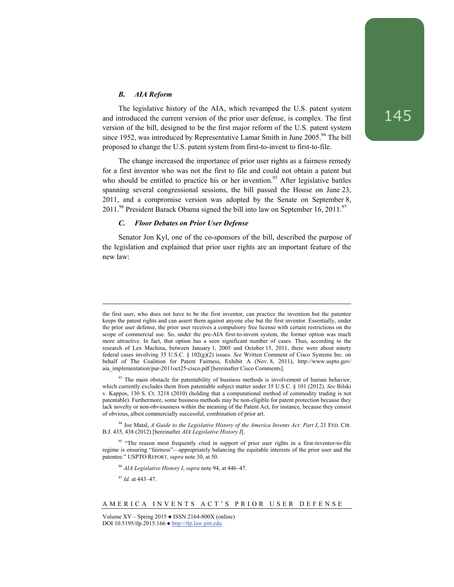## *B. AIA Reform*

The legislative history of the AIA, which revamped the U.S. patent system and introduced the current version of the prior user defense, is complex. The first version of the bill, designed to be the first major reform of the U.S. patent system since 1952, was introduced by Representative Lamar Smith in June  $2005.^{94}$  The bill proposed to change the U.S. patent system from first-to-invent to first-to-file.

The change increased the importance of prior user rights as a fairness remedy for a first inventor who was not the first to file and could not obtain a patent but who should be entitled to practice his or her invention.<sup>95</sup> After legislative battles spanning several congressional sessions, the bill passed the House on June 23, 2011, and a compromise version was adopted by the Senate on September 8, 2011.<sup>96</sup> President Barack Obama signed the bill into law on September 16, 2011.<sup>97</sup>

#### *C. Floor Debates on Prior User Defense*

Senator Jon Kyl, one of the co-sponsors of the bill, described the purpose of the legislation and explained that prior user rights are an important feature of the new law:

94 Joe Matal, *A Guide to the Legislative History of the America Invents Act: Part I*, 21 FED. CIR. B.J. 435, 438 (2012) [hereinafter *AIA Legislative History I*].

<sup>96</sup> *AIA Legislative History I*, *supra* note 94, at 446–47.

<sup>97</sup> *Id.* at 443–47.

the first user, who does not have to be the first inventor, can practice the invention but the patentee keeps the patent rights and can assert them against anyone else but the first inventor. Essentially, under the prior user defense, the prior user receives a compulsory free license with certain restrictions on the scope of commercial use. So, under the pre-AIA first-to-invent system, the former option was much more attractive. In fact, that option has a seen significant number of cases. Thus, according to the research of Lex Machina, between January 1, 2005 and October 15, 2011, there were about ninety federal cases involving 35 U.S.C. § 102(g)(2) issues. *See* Written Comment of Cisco Systems Inc. on behalf of The Coalition for Patent Fairness, Exhibit A (Nov. 8, 2011), http://www.uspto.gov/ aia\_implementation/pur-2011oct25-cisco.pdf [hereinafter Cisco Comments].

<sup>&</sup>lt;sup>93</sup> The main obstacle for patentability of business methods is involvement of human behavior, which currently excludes them from patentable subject matter under 35 U.S.C. § 101 (2012). *See* Bilski v. Kappos, 130 S. Ct. 3218 (2010) (holding that a computational method of commodity trading is not patentable). Furthermore, some business methods may be non-eligible for patent protection because they lack novelty or non-obviousness within the meaning of the Patent Act, for instance, because they consist of obvious, albeit commercially successful, combination of prior art.

<sup>&</sup>lt;sup>95</sup> "The reason most frequently cited in support of prior user rights in a first-inventor-to-file regime is ensuring "fairness"—appropriately balancing the equitable interests of the prior user and the patentee." USPTO REPORT, *supra* note 30, at 50.

AMERICA INVENTS ACT'S PRIOR USER DEFENSE

Volume  $XV -$  Spring 2015  $\bullet$  ISSN 2164-800X (online) DOI 10.5195/tlp.2015.166 ● http://tlp.law.pitt.edu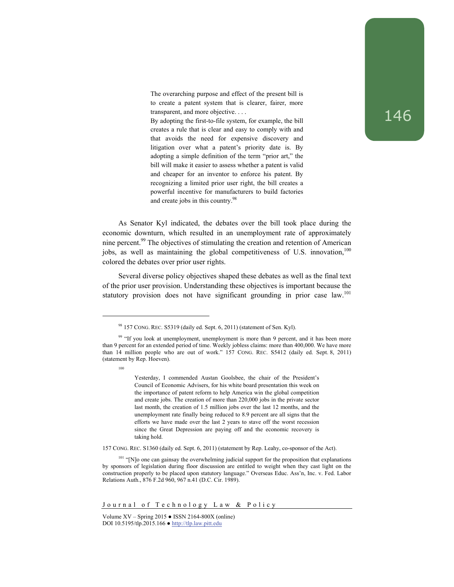The overarching purpose and effect of the present bill is to create a patent system that is clearer, fairer, more transparent, and more objective. . . .

By adopting the first-to-file system, for example, the bill creates a rule that is clear and easy to comply with and that avoids the need for expensive discovery and litigation over what a patent's priority date is. By adopting a simple definition of the term "prior art," the bill will make it easier to assess whether a patent is valid and cheaper for an inventor to enforce his patent. By recognizing a limited prior user right, the bill creates a powerful incentive for manufacturers to build factories and create jobs in this country.<sup>98</sup>

As Senator Kyl indicated, the debates over the bill took place during the economic downturn, which resulted in an unemployment rate of approximately nine percent.<sup>99</sup> The objectives of stimulating the creation and retention of American jobs, as well as maintaining the global competitiveness of U.S. innovation,  $100$ colored the debates over prior user rights.

Several diverse policy objectives shaped these debates as well as the final text of the prior user provision. Understanding these objectives is important because the statutory provision does not have significant grounding in prior case law.<sup>101</sup>

100

l

Yesterday, I commended Austan Goolsbee, the chair of the President's Council of Economic Advisers, for his white board presentation this week on the importance of patent reform to help America win the global competition and create jobs. The creation of more than 220,000 jobs in the private sector last month, the creation of 1.5 million jobs over the last 12 months, and the unemployment rate finally being reduced to 8.9 percent are all signs that the efforts we have made over the last 2 years to stave off the worst recession since the Great Depression are paying off and the economic recovery is taking hold.

157 CONG. REC. S1360 (daily ed. Sept. 6, 2011) (statement by Rep. Leahy, co-sponsor of the Act).

<sup>101</sup> "[N]o one can gainsay the overwhelming judicial support for the proposition that explanations by sponsors of legislation during floor discussion are entitled to weight when they cast light on the construction properly to be placed upon statutory language." Overseas Educ. Ass'n, Inc. v. Fed. Labor Relations Auth., 876 F.2d 960, 967 n.41 (D.C. Cir. 1989).

Journal of Technology Law & Policy

 $98$  157 CONG. REC. S5319 (daily ed. Sept. 6, 2011) (statement of Sen. Kyl).

<sup>&</sup>lt;sup>99</sup> "If you look at unemployment, unemployment is more than 9 percent, and it has been more than 9 percent for an extended period of time. Weekly jobless claims: more than 400,000. We have more than 14 million people who are out of work." 157 CONG. REC. S5412 (daily ed. Sept. 8, 2011) (statement by Rep. Hoeven).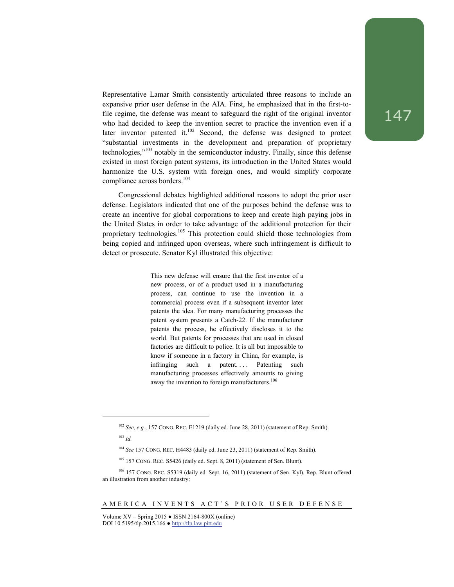Representative Lamar Smith consistently articulated three reasons to include an expansive prior user defense in the AIA. First, he emphasized that in the first-tofile regime, the defense was meant to safeguard the right of the original inventor who had decided to keep the invention secret to practice the invention even if a later inventor patented it. $102$  Second, the defense was designed to protect "substantial investments in the development and preparation of proprietary technologies,"103 notably in the semiconductor industry. Finally, since this defense existed in most foreign patent systems, its introduction in the United States would harmonize the U.S. system with foreign ones, and would simplify corporate compliance across borders.104

Congressional debates highlighted additional reasons to adopt the prior user defense. Legislators indicated that one of the purposes behind the defense was to create an incentive for global corporations to keep and create high paying jobs in the United States in order to take advantage of the additional protection for their proprietary technologies.<sup>105</sup> This protection could shield those technologies from being copied and infringed upon overseas, where such infringement is difficult to detect or prosecute. Senator Kyl illustrated this objective:

> This new defense will ensure that the first inventor of a new process, or of a product used in a manufacturing process, can continue to use the invention in a commercial process even if a subsequent inventor later patents the idea. For many manufacturing processes the patent system presents a Catch-22. If the manufacturer patents the process, he effectively discloses it to the world. But patents for processes that are used in closed factories are difficult to police. It is all but impossible to know if someone in a factory in China, for example, is infringing such a patent.... Patenting such manufacturing processes effectively amounts to giving away the invention to foreign manufacturers.<sup>106</sup>

<sup>105</sup> 157 CONG. REC. S5426 (daily ed. Sept. 8, 2011) (statement of Sen. Blunt).

Volume XV – Spring 2015 ● ISSN 2164-800X (online) DOI 10.5195/tlp.2015.166 ● http://tlp.law.pitt.edu

<sup>102</sup> *See, e.g.*, 157 CONG. REC. E1219 (daily ed. June 28, 2011) (statement of Rep. Smith).  $103$  *Id.* 

<sup>104</sup> *See* 157 CONG. REC. H4483 (daily ed. June 23, 2011) (statement of Rep. Smith).

<sup>106 157</sup> CONG. REC. S5319 (daily ed. Sept. 16, 2011) (statement of Sen. Kyl). Rep. Blunt offered an illustration from another industry: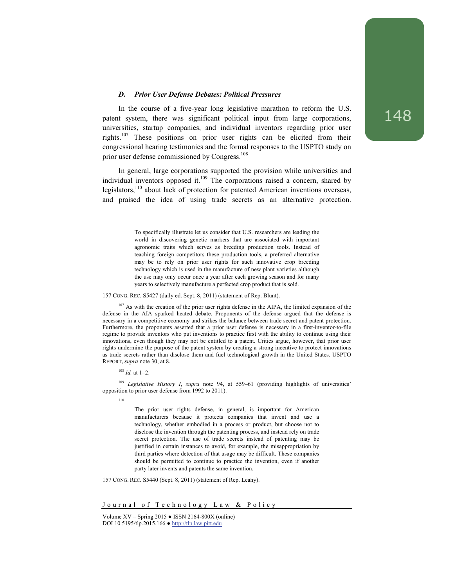## *D. Prior User Defense Debates: Political Pressures*

In the course of a five-year long legislative marathon to reform the U.S. patent system, there was significant political input from large corporations, universities, startup companies, and individual inventors regarding prior user rights.107 These positions on prior user rights can be elicited from their congressional hearing testimonies and the formal responses to the USPTO study on prior user defense commissioned by Congress.<sup>108</sup>

In general, large corporations supported the provision while universities and individual inventors opposed it.<sup>109</sup> The corporations raised a concern, shared by legislators,<sup>110</sup> about lack of protection for patented American inventions overseas, and praised the idea of using trade secrets as an alternative protection.

> To specifically illustrate let us consider that U.S. researchers are leading the world in discovering genetic markers that are associated with important agronomic traits which serves as breeding production tools. Instead of teaching foreign competitors these production tools, a preferred alternative may be to rely on prior user rights for such innovative crop breeding technology which is used in the manufacture of new plant varieties although the use may only occur once a year after each growing season and for many years to selectively manufacture a perfected crop product that is sold.

157 CONG. REC. S5427 (daily ed. Sept. 8, 2011) (statement of Rep. Blunt).

<sup>107</sup> As with the creation of the prior user rights defense in the AIPA, the limited expansion of the defense in the AIA sparked heated debate. Proponents of the defense argued that the defense is necessary in a competitive economy and strikes the balance between trade secret and patent protection. Furthermore, the proponents asserted that a prior user defense is necessary in a first-inventor-to-file regime to provide inventors who put inventions to practice first with the ability to continue using their innovations, even though they may not be entitled to a patent. Critics argue, however, that prior user rights undermine the purpose of the patent system by creating a strong incentive to protect innovations as trade secrets rather than disclose them and fuel technological growth in the United States. USPTO REPORT, *supra* note 30, at 8.

<sup>108</sup> *Id.* at 1–2.

<sup>109</sup> *Legislative History I*, *supra* note 94, at 559–61 (providing highlights of universities' opposition to prior user defense from 1992 to 2011).

110

l

The prior user rights defense, in general, is important for American manufacturers because it protects companies that invent and use a technology, whether embodied in a process or product, but choose not to disclose the invention through the patenting process, and instead rely on trade secret protection. The use of trade secrets instead of patenting may be justified in certain instances to avoid, for example, the misappropriation by third parties where detection of that usage may be difficult. These companies should be permitted to continue to practice the invention, even if another party later invents and patents the same invention.

157 CONG. REC. S5440 (Sept. 8, 2011) (statement of Rep. Leahy).

Journal of Technology Law & Policy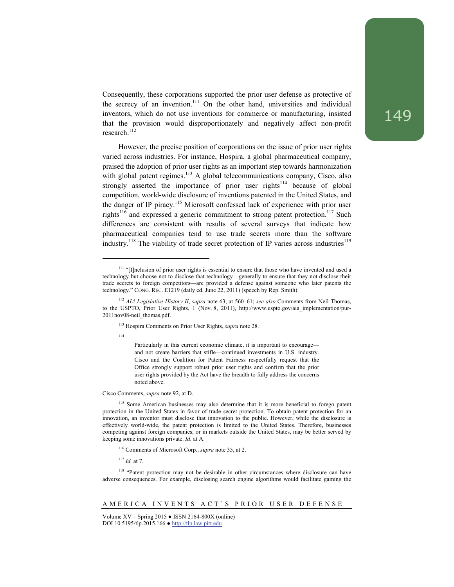Consequently, these corporations supported the prior user defense as protective of the secrecy of an invention.<sup>111</sup> On the other hand, universities and individual inventors, which do not use inventions for commerce or manufacturing, insisted that the provision would disproportionately and negatively affect non-profit research.<sup>112</sup>

However, the precise position of corporations on the issue of prior user rights varied across industries. For instance, Hospira, a global pharmaceutical company, praised the adoption of prior user rights as an important step towards harmonization with global patent regimes.<sup>113</sup> A global telecommunications company, Cisco, also strongly asserted the importance of prior user rights<sup>114</sup> because of global competition, world-wide disclosure of inventions patented in the United States, and the danger of IP piracy.<sup>115</sup> Microsoft confessed lack of experience with prior user rights<sup>116</sup> and expressed a generic commitment to strong patent protection.<sup>117</sup> Such differences are consistent with results of several surveys that indicate how pharmaceutical companies tend to use trade secrets more than the software industry.<sup>118</sup> The viability of trade secret protection of IP varies across industries<sup>119</sup>

114

l

Particularly in this current economic climate, it is important to encourage and not create barriers that stifle—continued investments in U.S. industry. Cisco and the Coalition for Patent Fairness respectfully request that the Office strongly support robust prior user rights and confirm that the prior user rights provided by the Act have the breadth to fully address the concerns noted above.

#### Cisco Comments, *supra* note 92, at D.

<sup>115</sup> Some American businesses may also determine that it is more beneficial to forego patent protection in the United States in favor of trade secret protection. To obtain patent protection for an innovation, an inventor must disclose that innovation to the public. However, while the disclosure is effectively world-wide, the patent protection is limited to the United States. Therefore, businesses competing against foreign companies, or in markets outside the United States, may be better served by keeping some innovations private. *Id.* at A.

116 Comments of Microsoft Corp., *supra* note 35, at 2.

<sup>117</sup> *Id.* at 7.

<sup>118</sup> "Patent protection may not be desirable in other circumstances where disclosure can have adverse consequences. For example, disclosing search engine algorithms would facilitate gaming the

#### AMERICA INVENTS ACT'S PRIOR USER DEFENSE

<sup>&</sup>lt;sup>111</sup> "[I]nclusion of prior user rights is essential to ensure that those who have invented and used a technology but choose not to disclose that technology—generally to ensure that they not disclose their trade secrets to foreign competitors—are provided a defense against someone who later patents the technology." CONG. REC. E1219 (daily ed. June 22, 2011) (speech by Rep. Smith).

<sup>112</sup> *AIA Legislative History II*, *supra* note 63, at 560–61; *see also* Comments from Neil Thomas, to the USPTO, Prior User Rights, 1 (Nov. 8, 2011), http://www.uspto.gov/aia\_implementation/pur-2011nov08-neil\_thomas.pdf.

<sup>113</sup> Hospira Comments on Prior User Rights, *supra* note 28.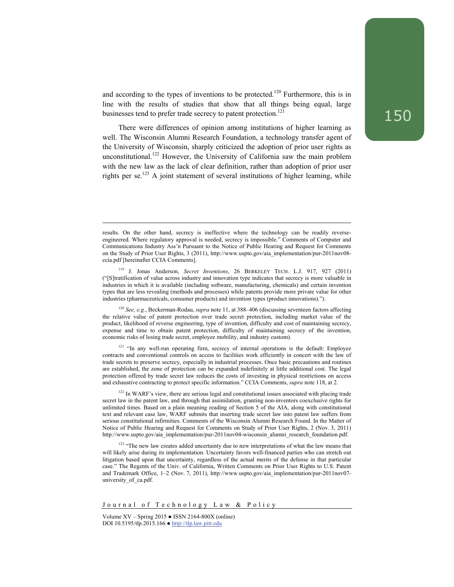and according to the types of inventions to be protected.<sup>120</sup> Furthermore, this is in line with the results of studies that show that all things being equal, large businesses tend to prefer trade secrecy to patent protection.<sup>121</sup>

There were differences of opinion among institutions of higher learning as well. The Wisconsin Alumni Research Foundation, a technology transfer agent of the University of Wisconsin, sharply criticized the adoption of prior user rights as unconstitutional.<sup>122</sup> However, the University of California saw the main problem with the new law as the lack of clear definition, rather than adoption of prior user rights per se.<sup>123</sup> A joint statement of several institutions of higher learning, while

<sup>120</sup> *See, e.g.*, Beckerman-Rodau, *supra* note 11, at 388–406 (discussing seventeen factors affecting the relative value of patent protection over trade secret protection, including market value of the product, likelihood of reverse engineering, type of invention, difficulty and cost of maintaining secrecy, expense and time to obtain patent protection, difficulty of maintaining secrecy of the invention, economic risks of losing trade secret, employee mobility, and industry custom).

 $121$  "In any well-run operating firm, secrecy of internal operations is the default: Employee contracts and conventional controls on access to facilities work efficiently in concert with the law of trade secrets to preserve secrecy, especially in industrial processes. Once basic precautions and routines are established, the zone of protection can be expanded indefinitely at little additional cost. The legal protection offered by trade secret law reduces the costs of investing in physical restrictions on access and exhaustive contracting to protect specific information." CCIA Comments, *supra* note 118, at 2.

<sup>122</sup> In WARF's view, there are serious legal and constitutional issues associated with placing trade secret law in the patent law, and through that assimilation, granting non-inventors coexclusive rights for unlimited times. Based on a plain meaning reading of Section 5 of the AIA, along with constitutional text and relevant case law, WARF submits that inserting trade secret law into patent law suffers from serious constitutional infirmities. Comments of the Wisconsin Alumni Research Found. In the Matter of Notice of Public Hearing and Request for Comments on Study of Prior User Rights, 2 (Nov. 3, 2011) http://www.uspto.gov/aia\_implementation/pur-2011nov04-wisconsin\_alumni\_research\_foundation.pdf.

<sup>123</sup> "The new law creates added uncertainty due to new interpretations of what the law means that will likely arise during its implementation. Uncertainty favors well-financed parties who can stretch out litigation based upon that uncertainty, regardless of the actual merits of the defense in that particular case." The Regents of the Univ. of California, Written Comments on Prior User Rights to U.S. Patent and Trademark Office, 1–2 (Nov. 7, 2011), http://www.uspto.gov/aia\_implementation/pur-2011nov07 university\_of\_ca.pdf.

results. On the other hand, secrecy is ineffective where the technology can be readily reverseengineered. Where regulatory approval is needed, secrecy is impossible." Comments of Computer and Communications Industry Ass'n Pursuant to the Notice of Public Hearing and Request for Comments on the Study of Prior User Rights, 3 (2011), http://www.uspto.gov/aia\_implementation/pur-2011nov08 ccia.pdf [hereinafter CCIA Comments].

<sup>119</sup> J. Jonas Anderson, *Secret Inventions*, 26 BERKELEY TECH. L.J. 917, 927 (2011) ("[S]tratification of value across industry and innovation type indicates that secrecy is more valuable in industries in which it is available (including software, manufacturing, chemicals) and certain invention types that are less revealing (methods and processes) while patents provide more private value for other industries (pharmaceuticals, consumer products) and invention types (product innovations).").

Journal of Technology Law & Policy

Volume  $XV -$  Spring 2015  $\bullet$  ISSN 2164-800X (online) DOI 10.5195/tlp.2015.166 ● http://tlp.law.pitt.edu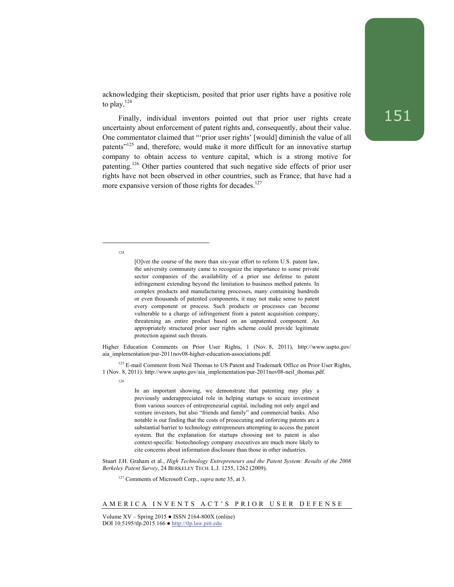acknowledging their skepticism, posited that prior user rights have a positive role to play. $^{124}$ 

Finally, individual inventors pointed out that prior user rights create uncertainty about enforcement of patent rights and, consequently, about their value. One commentator claimed that "'prior user rights' [would] diminish the value of all patents<sup>"125</sup> and, therefore, would make it more difficult for an innovative startup company to obtain access to venture capital, which is a strong motive for patenting.126 Other parties countered that such negative side effects of prior user rights have not been observed in other countries, such as France, that have had a more expansive version of those rights for decades. $127$ 

124

l

<sup>125</sup> E-mail Comment from Neil Thomas to US Patent and Trademark Office on Prior User Rights, 1 (Nov. 8, 2011). http://www.uspto.gov/aia\_implementation/pur-2011nov08-neil\_thomas.pdf.

126

In an important showing, we demonstrate that patenting may play a previously underappreciated role in helping startups to secure investment from various sources of entrepreneurial capital, including not only angel and venture investors, but also "friends and family" and commercial banks. Also notable is our finding that the costs of prosecuting and enforcing patents are a substantial barrier to technology entrepreneurs attempting to access the patent system. But the explanation for startups choosing not to patent is also context-specific: biotechnology company executives are much more likely to cite concerns about information disclosure than those in other industries.

Stuart J.H. Graham et al., *High Technology Entrepreneurs and the Patent System: Results of the 2008 Berkeley Patent Survey*, 24 BERKELEY TECH. L.J. 1255, 1262 (2009).

127 Comments of Microsoft Corp., *supra* note 35, at 3.

<sup>[</sup>O]ver the course of the more than six-year effort to reform U.S. patent law, the university community came to recognize the importance to some private sector companies of the availability of a prior use defense to patent infringement extending beyond the limitation to business method patents. In complex products and manufacturing processes, many containing hundreds or even thousands of patented components, it may not make sense to patent every component or process. Such products or processes can become vulnerable to a charge of infringement from a patent acquisition company, threatening an entire product based on an unpatented component. An appropriately structured prior user rights scheme could provide legitimate protection against such threats.

Higher Education Comments on Prior User Rights, 1 (Nov. 8, 2011), http://www.uspto.gov/ aia\_implementation/pur-2011nov08-higher-education-associations.pdf.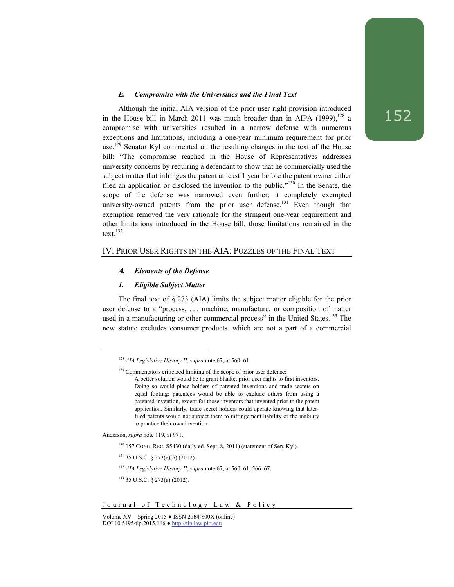## *E. Compromise with the Universities and the Final Text*

Although the initial AIA version of the prior user right provision introduced in the House bill in March 2011 was much broader than in AIPA (1999), $^{128}$  a compromise with universities resulted in a narrow defense with numerous exceptions and limitations, including a one-year minimum requirement for prior use.129 Senator Kyl commented on the resulting changes in the text of the House bill: "The compromise reached in the House of Representatives addresses university concerns by requiring a defendant to show that he commercially used the subject matter that infringes the patent at least 1 year before the patent owner either filed an application or disclosed the invention to the public."130 In the Senate, the scope of the defense was narrowed even further; it completely exempted university-owned patents from the prior user defense.<sup>131</sup> Even though that exemption removed the very rationale for the stringent one-year requirement and other limitations introduced in the House bill, those limitations remained in the text.132

## IV. PRIOR USER RIGHTS IN THE AIA: PUZZLES OF THE FINAL TEXT

## *A. Elements of the Defense*

## *1. Eligible Subject Matter*

The final text of § 273 (AIA) limits the subject matter eligible for the prior user defense to a "process, . . . machine, manufacture, or composition of matter used in a manufacturing or other commercial process" in the United States.<sup>133</sup> The new statute excludes consumer products, which are not a part of a commercial

Anderson, *supra* note 119, at 971.

<sup>128</sup> *AIA Legislative History II*, *supra* note 67, at 560–61.

<sup>&</sup>lt;sup>129</sup> Commentators criticized limiting of the scope of prior user defense:

A better solution would be to grant blanket prior user rights to first inventors. Doing so would place holders of patented inventions and trade secrets on equal footing: patentees would be able to exclude others from using a patented invention, except for those inventors that invented prior to the patent application. Similarly, trade secret holders could operate knowing that laterfiled patents would not subject them to infringement liability or the inability to practice their own invention.

<sup>130 157</sup> CONG. REC. S5430 (daily ed. Sept. 8, 2011) (statement of Sen. Kyl).

<sup>131 35</sup> U.S.C. § 273(e)(5) (2012).

<sup>132</sup> *AIA Legislative History II*, *supra* note 67, at 560–61, 566–67.

<sup>133 35</sup> U.S.C. § 273(a) (2012).

Volume  $XV -$  Spring 2015  $\bullet$  ISSN 2164-800X (online) DOI 10.5195/tlp.2015.166 ● http://tlp.law.pitt.edu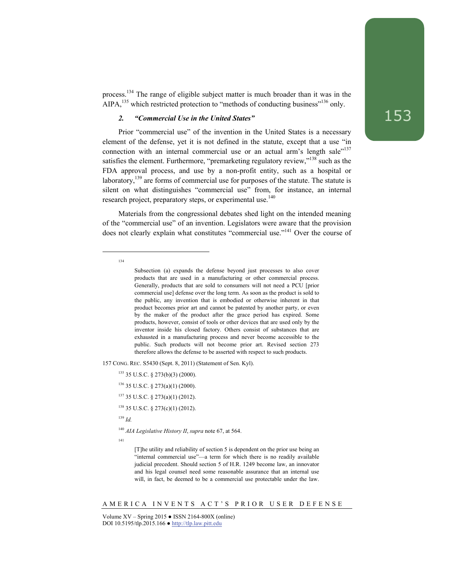process.134 The range of eligible subject matter is much broader than it was in the AIPA,  $^{135}$  which restricted protection to "methods of conducting business"<sup>136</sup> only.

## *2. "Commercial Use in the United States"*

Prior "commercial use" of the invention in the United States is a necessary element of the defense, yet it is not defined in the statute, except that a use "in connection with an internal commercial use or an actual arm's length sale<sup>"137</sup> satisfies the element. Furthermore, "premarketing regulatory review,"<sup>138</sup> such as the FDA approval process, and use by a non-profit entity, such as a hospital or laboratory, $139$  are forms of commercial use for purposes of the statute. The statute is silent on what distinguishes "commercial use" from, for instance, an internal research project, preparatory steps, or experimental use.<sup>140</sup>

Materials from the congressional debates shed light on the intended meaning of the "commercial use" of an invention. Legislators were aware that the provision does not clearly explain what constitutes "commercial use."<sup>141</sup> Over the course of

134

l

157 CONG. REC. S5430 (Sept. 8, 2011) (Statement of Sen. Kyl).

137 35 U.S.C. § 273(a)(1) (2012).

138 35 U.S.C. § 273(c)(1) (2012).

<sup>139</sup> *Id.*

<sup>140</sup> *AIA Legislative History II*, *supra* note 67, at 564.

141

[T]he utility and reliability of section 5 is dependent on the prior use being an "internal commercial use"—a term for which there is no readily available judicial precedent. Should section 5 of H.R. 1249 become law, an innovator and his legal counsel need some reasonable assurance that an internal use will, in fact, be deemed to be a commercial use protectable under the law.

AMERICA INVENTS ACT'S PRIOR USER DEFENSE

Subsection (a) expands the defense beyond just processes to also cover products that are used in a manufacturing or other commercial process. Generally, products that are sold to consumers will not need a PCU [prior commercial use] defense over the long term. As soon as the product is sold to the public, any invention that is embodied or otherwise inherent in that product becomes prior art and cannot be patented by another party, or even by the maker of the product after the grace period has expired. Some products, however, consist of tools or other devices that are used only by the inventor inside his closed factory. Others consist of substances that are exhausted in a manufacturing process and never become accessible to the public. Such products will not become prior art. Revised section 273 therefore allows the defense to be asserted with respect to such products.

<sup>135 35</sup> U.S.C. § 273(b)(3) (2000).

 $136$  35 U.S.C. § 273(a)(1) (2000).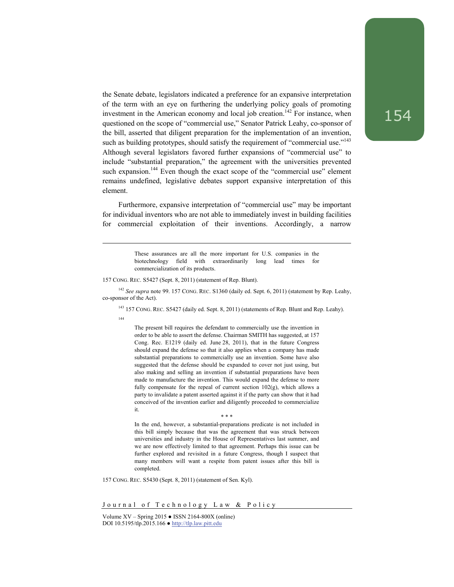the Senate debate, legislators indicated a preference for an expansive interpretation of the term with an eye on furthering the underlying policy goals of promoting investment in the American economy and local job creation.<sup>142</sup> For instance, when questioned on the scope of "commercial use," Senator Patrick Leahy, co-sponsor of the bill, asserted that diligent preparation for the implementation of an invention, such as building prototypes, should satisfy the requirement of "commercial use."<sup>143</sup> Although several legislators favored further expansions of "commercial use" to include "substantial preparation," the agreement with the universities prevented such expansion.<sup>144</sup> Even though the exact scope of the "commercial use" element remains undefined, legislative debates support expansive interpretation of this element.

Furthermore, expansive interpretation of "commercial use" may be important for individual inventors who are not able to immediately invest in building facilities for commercial exploitation of their inventions. Accordingly, a narrow

> These assurances are all the more important for U.S. companies in the biotechnology field with extraordinarily long lead times for commercialization of its products.

157 CONG. REC. S5427 (Sept. 8, 2011) (statement of Rep. Blunt).

<sup>142</sup> *See supra* note 99. 157 CONG. REC. S1360 (daily ed. Sept. 6, 2011) (statement by Rep. Leahy, co-sponsor of the Act).

<sup>143</sup> 157 CONG. REC. S5427 (daily ed. Sept. 8, 2011) (statements of Rep. Blunt and Rep. Leahy).

144

l

The present bill requires the defendant to commercially use the invention in order to be able to assert the defense. Chairman SMITH has suggested, at 157 Cong. Rec. E1219 (daily ed. June 28, 2011), that in the future Congress should expand the defense so that it also applies when a company has made substantial preparations to commercially use an invention. Some have also suggested that the defense should be expanded to cover not just using, but also making and selling an invention if substantial preparations have been made to manufacture the invention. This would expand the defense to more fully compensate for the repeal of current section 102(g), which allows a party to invalidate a patent asserted against it if the party can show that it had conceived of the invention earlier and diligently proceeded to commercialize it.

\* \* \*

In the end, however, a substantial-preparations predicate is not included in this bill simply because that was the agreement that was struck between universities and industry in the House of Representatives last summer, and we are now effectively limited to that agreement. Perhaps this issue can be further explored and revisited in a future Congress, though I suspect that many members will want a respite from patent issues after this bill is completed.

157 CONG. REC. S5430 (Sept. 8, 2011) (statement of Sen. Kyl).

Journal of Technology Law & Policy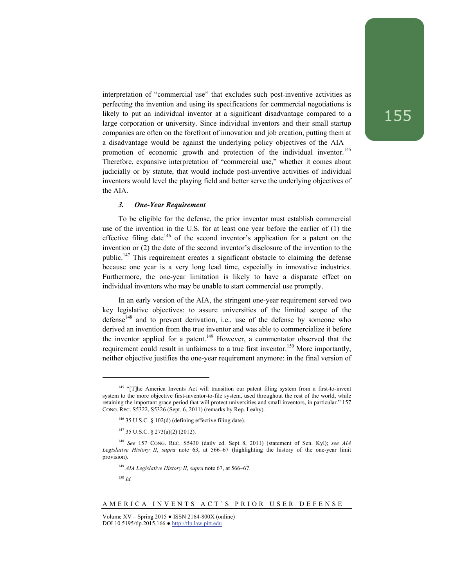interpretation of "commercial use" that excludes such post-inventive activities as perfecting the invention and using its specifications for commercial negotiations is likely to put an individual inventor at a significant disadvantage compared to a large corporation or university. Since individual inventors and their small startup companies are often on the forefront of innovation and job creation, putting them at a disadvantage would be against the underlying policy objectives of the AIA promotion of economic growth and protection of the individual inventor.<sup>145</sup> Therefore, expansive interpretation of "commercial use," whether it comes about judicially or by statute, that would include post-inventive activities of individual inventors would level the playing field and better serve the underlying objectives of the AIA.

## *3. One-Year Requirement*

To be eligible for the defense, the prior inventor must establish commercial use of the invention in the U.S. for at least one year before the earlier of (1) the effective filing date<sup>146</sup> of the second inventor's application for a patent on the invention or (2) the date of the second inventor's disclosure of the invention to the public.147 This requirement creates a significant obstacle to claiming the defense because one year is a very long lead time, especially in innovative industries. Furthermore, the one-year limitation is likely to have a disparate effect on individual inventors who may be unable to start commercial use promptly.

In an early version of the AIA, the stringent one-year requirement served two key legislative objectives: to assure universities of the limited scope of the defense $148$  and to prevent derivation, i.e., use of the defense by someone who derived an invention from the true inventor and was able to commercialize it before the inventor applied for a patent.<sup>149</sup> However, a commentator observed that the requirement could result in unfairness to a true first inventor.<sup>150</sup> More importantly, neither objective justifies the one-year requirement anymore: in the final version of

<sup>149</sup> *AIA Legislative History II*, *supra* note 67, at 566–67.

 $^{150}\,$   $ld.$ 

<sup>&</sup>lt;sup>145</sup> "[T]he America Invents Act will transition our patent filing system from a first-to-invent system to the more objective first-inventor-to-file system, used throughout the rest of the world, while retaining the important grace period that will protect universities and small inventors, in particular." 157 CONG. REC. S5322, S5326 (Sept. 6, 2011) (remarks by Rep. Leahy).

<sup>146 35</sup> U.S.C. § 102(d) (defining effective filing date).

<sup>147 35</sup> U.S.C. § 273(a)(2) (2012).

<sup>148</sup> *See* 157 CONG. REC. S5430 (daily ed. Sept. 8, 2011) (statement of Sen. Kyl); *see AIA Legislative History II*, *supra* note 63, at 566–67 (highlighting the history of the one-year limit provision).

Volume  $XV -$  Spring 2015  $\bullet$  ISSN 2164-800X (online) DOI 10.5195/tlp.2015.166 ● http://tlp.law.pitt.edu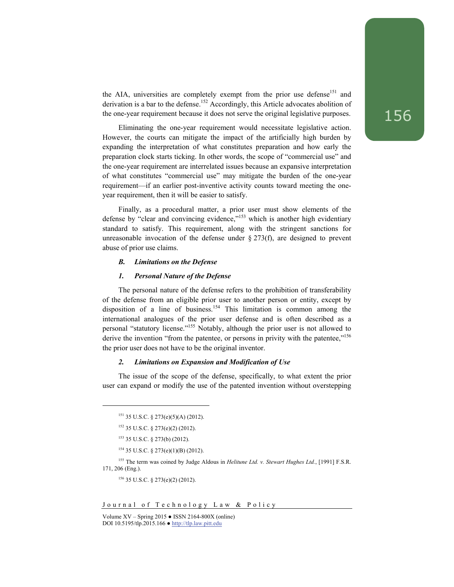the AIA, universities are completely exempt from the prior use defense<sup>151</sup> and derivation is a bar to the defense.<sup>152</sup> Accordingly, this Article advocates abolition of the one-year requirement because it does not serve the original legislative purposes.

Eliminating the one-year requirement would necessitate legislative action. However, the courts can mitigate the impact of the artificially high burden by expanding the interpretation of what constitutes preparation and how early the preparation clock starts ticking. In other words, the scope of "commercial use" and the one-year requirement are interrelated issues because an expansive interpretation of what constitutes "commercial use" may mitigate the burden of the one-year requirement—if an earlier post-inventive activity counts toward meeting the oneyear requirement, then it will be easier to satisfy.

Finally, as a procedural matter, a prior user must show elements of the defense by "clear and convincing evidence,"<sup>153</sup> which is another high evidentiary standard to satisfy. This requirement, along with the stringent sanctions for unreasonable invocation of the defense under  $\S 273(f)$ , are designed to prevent abuse of prior use claims.

#### *B. Limitations on the Defense*

## *1. Personal Nature of the Defense*

The personal nature of the defense refers to the prohibition of transferability of the defense from an eligible prior user to another person or entity, except by disposition of a line of business.<sup>154</sup> This limitation is common among the international analogues of the prior user defense and is often described as a personal "statutory license."155 Notably, although the prior user is not allowed to derive the invention "from the patentee, or persons in privity with the patentee,"<sup>156</sup> the prior user does not have to be the original inventor.

## *2. Limitations on Expansion and Modification of Use*

The issue of the scope of the defense, specifically, to what extent the prior user can expand or modify the use of the patented invention without overstepping

l

<sup>151 35</sup> U.S.C. § 273(e)(5)(A) (2012).

<sup>152 35</sup> U.S.C. § 273(e)(2) (2012).

<sup>153 35</sup> U.S.C. § 273(b) (2012).

 $154$  35 U.S.C. § 273(e)(1)(B) (2012).

<sup>155</sup> The term was coined by Judge Aldous in *Helitune Ltd. v. Stewart Hughes Ltd.*, [1991] F.S.R. 171, 206 (Eng.).

<sup>156 35</sup> U.S.C. § 273(e)(2) (2012).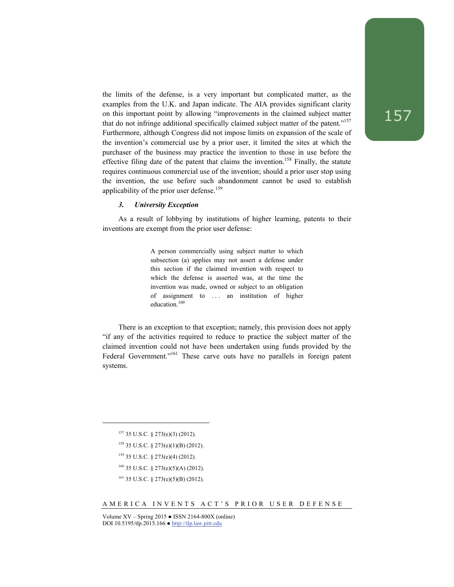the limits of the defense, is a very important but complicated matter, as the examples from the U.K. and Japan indicate. The AIA provides significant clarity on this important point by allowing "improvements in the claimed subject matter that do not infringe additional specifically claimed subject matter of the patent."157 Furthermore, although Congress did not impose limits on expansion of the scale of the invention's commercial use by a prior user, it limited the sites at which the purchaser of the business may practice the invention to those in use before the effective filing date of the patent that claims the invention.<sup>158</sup> Finally, the statute requires continuous commercial use of the invention; should a prior user stop using the invention, the use before such abandonment cannot be used to establish applicability of the prior user defense.<sup>159</sup>

## *3. University Exception*

As a result of lobbying by institutions of higher learning, patents to their inventions are exempt from the prior user defense:

> A person commercially using subject matter to which subsection (a) applies may not assert a defense under this section if the claimed invention with respect to which the defense is asserted was, at the time the invention was made, owned or subject to an obligation of assignment to . . . an institution of higher education.<sup>160</sup>

There is an exception to that exception; namely, this provision does not apply "if any of the activities required to reduce to practice the subject matter of the claimed invention could not have been undertaken using funds provided by the Federal Government."<sup>161</sup> These carve outs have no parallels in foreign patent systems.

l

#### AMERICA INVENTS ACT'S PRIOR USER DEFENSE

<sup>157 35</sup> U.S.C. § 273(e)(3) (2012).

 $158$  35 U.S.C. § 273(e)(1)(B) (2012).

<sup>159 35</sup> U.S.C. § 273(e)(4) (2012).

<sup>160 35</sup> U.S.C. § 273(e)(5)(A) (2012).

 $161$  35 U.S.C. § 273(e)(5)(B) (2012).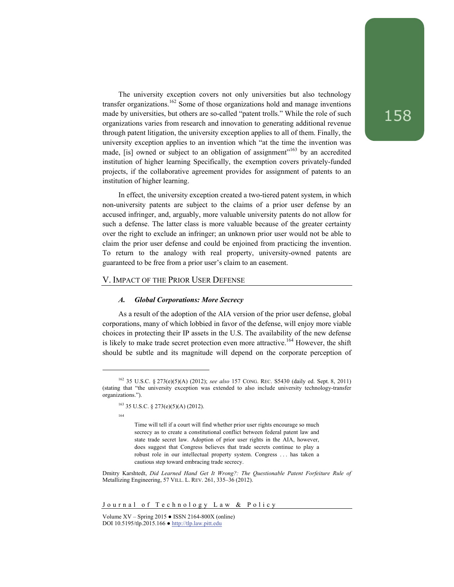The university exception covers not only universities but also technology transfer organizations.<sup>162</sup> Some of those organizations hold and manage inventions made by universities, but others are so-called "patent trolls." While the role of such organizations varies from research and innovation to generating additional revenue through patent litigation, the university exception applies to all of them. Finally, the university exception applies to an invention which "at the time the invention was made, [is] owned or subject to an obligation of assignment"<sup>163</sup> by an accredited institution of higher learning Specifically, the exemption covers privately-funded projects, if the collaborative agreement provides for assignment of patents to an institution of higher learning.

In effect, the university exception created a two-tiered patent system, in which non-university patents are subject to the claims of a prior user defense by an accused infringer, and, arguably, more valuable university patents do not allow for such a defense. The latter class is more valuable because of the greater certainty over the right to exclude an infringer; an unknown prior user would not be able to claim the prior user defense and could be enjoined from practicing the invention. To return to the analogy with real property, university-owned patents are guaranteed to be free from a prior user's claim to an easement.

## V. IMPACT OF THE PRIOR USER DEFENSE

#### *A. Global Corporations: More Secrecy*

As a result of the adoption of the AIA version of the prior user defense, global corporations, many of which lobbied in favor of the defense, will enjoy more viable choices in protecting their IP assets in the U.S. The availability of the new defense is likely to make trade secret protection even more attractive.<sup>164</sup> However, the shift should be subtle and its magnitude will depend on the corporate perception of

<sup>162 35</sup> U.S.C. § 273(e)(5)(A) (2012); *see also* 157 CONG. REC. S5430 (daily ed. Sept. 8, 2011) (stating that "the university exception was extended to also include university technology-transfer organizations.").

 $163$  35 U.S.C. § 273(e)(5)(A) (2012).

<sup>164</sup> 

Time will tell if a court will find whether prior user rights encourage so much secrecy as to create a constitutional conflict between federal patent law and state trade secret law. Adoption of prior user rights in the AIA, however, does suggest that Congress believes that trade secrets continue to play a robust role in our intellectual property system. Congress . . . has taken a cautious step toward embracing trade secrecy.

Dmitry Karshtedt, *Did Learned Hand Get It Wrong?: The Questionable Patent Forfeiture Rule of*  Metallizing Engineering, 57 VILL. L. REV. 261, 335–36 (2012).

Volume  $XV -$  Spring 2015  $\bullet$  ISSN 2164-800X (online) DOI 10.5195/tlp.2015.166 ● http://tlp.law.pitt.edu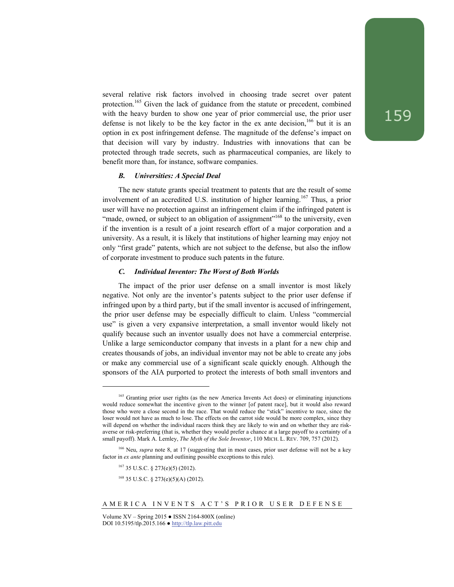several relative risk factors involved in choosing trade secret over patent protection.165 Given the lack of guidance from the statute or precedent, combined with the heavy burden to show one year of prior commercial use, the prior user defense is not likely to be the key factor in the ex ante decision,  $166$  but it is an option in ex post infringement defense. The magnitude of the defense's impact on that decision will vary by industry. Industries with innovations that can be protected through trade secrets, such as pharmaceutical companies, are likely to benefit more than, for instance, software companies.

#### *B. Universities: A Special Deal*

The new statute grants special treatment to patents that are the result of some involvement of an accredited U.S. institution of higher learning.<sup>167</sup> Thus, a prior user will have no protection against an infringement claim if the infringed patent is "made, owned, or subject to an obligation of assignment"<sup>168</sup> to the university, even if the invention is a result of a joint research effort of a major corporation and a university. As a result, it is likely that institutions of higher learning may enjoy not only "first grade" patents, which are not subject to the defense, but also the inflow of corporate investment to produce such patents in the future.

## *C. Individual Inventor: The Worst of Both Worlds*

The impact of the prior user defense on a small inventor is most likely negative. Not only are the inventor's patents subject to the prior user defense if infringed upon by a third party, but if the small inventor is accused of infringement, the prior user defense may be especially difficult to claim. Unless "commercial use" is given a very expansive interpretation, a small inventor would likely not qualify because such an inventor usually does not have a commercial enterprise. Unlike a large semiconductor company that invests in a plant for a new chip and creates thousands of jobs, an individual inventor may not be able to create any jobs or make any commercial use of a significant scale quickly enough. Although the sponsors of the AIA purported to protect the interests of both small inventors and

167 35 U.S.C. § 273(e)(5) (2012).

l

 $168$  35 U.S.C. § 273(e)(5)(A) (2012).

<sup>&</sup>lt;sup>165</sup> Granting prior user rights (as the new America Invents Act does) or eliminating injunctions would reduce somewhat the incentive given to the winner [of patent race], but it would also reward those who were a close second in the race. That would reduce the "stick" incentive to race, since the loser would not have as much to lose. The effects on the carrot side would be more complex, since they will depend on whether the individual racers think they are likely to win and on whether they are riskaverse or risk-preferring (that is, whether they would prefer a chance at a large payoff to a certainty of a small payoff). Mark A. Lemley, *The Myth of the Sole Inventor*, 110 MICH. L. REV. 709, 757 (2012).

<sup>&</sup>lt;sup>166</sup> Neu, *supra* note 8, at 17 (suggesting that in most cases, prior user defense will not be a key factor in *ex ante* planning and outlining possible exceptions to this rule).

Volume XV – Spring 2015 ● ISSN 2164-800X (online) DOI 10.5195/tlp.2015.166 ● http://tlp.law.pitt.edu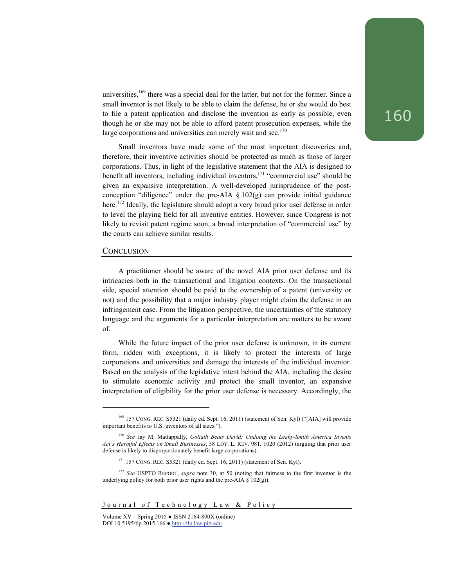universities, $169$  there was a special deal for the latter, but not for the former. Since a small inventor is not likely to be able to claim the defense, he or she would do best to file a patent application and disclose the invention as early as possible, even though he or she may not be able to afford patent prosecution expenses, while the large corporations and universities can merely wait and see. $170$ 

Small inventors have made some of the most important discoveries and, therefore, their inventive activities should be protected as much as those of larger corporations. Thus, in light of the legislative statement that the AIA is designed to benefit all inventors, including individual inventors,<sup>171</sup> "commercial use" should be given an expansive interpretation. A well-developed jurisprudence of the postconception "diligence" under the pre-AIA  $\S$  102(g) can provide initial guidance here.<sup>172</sup> Ideally, the legislature should adopt a very broad prior user defense in order to level the playing field for all inventive entities. However, since Congress is not likely to revisit patent regime soon, a broad interpretation of "commercial use" by the courts can achieve similar results.

## **CONCLUSION**

l

A practitioner should be aware of the novel AIA prior user defense and its intricacies both in the transactional and litigation contexts. On the transactional side, special attention should be paid to the ownership of a patent (university or not) and the possibility that a major industry player might claim the defense in an infringement case. From the litigation perspective, the uncertainties of the statutory language and the arguments for a particular interpretation are matters to be aware of.

While the future impact of the prior user defense is unknown, in its current form, ridden with exceptions, it is likely to protect the interests of large corporations and universities and damage the interests of the individual inventor. Based on the analysis of the legislative intent behind the AIA, including the desire to stimulate economic activity and protect the small inventor, an expansive interpretation of eligibility for the prior user defense is necessary. Accordingly, the

<sup>&</sup>lt;sup>169</sup> 157 CONG. REC. S5321 (daily ed. Sept. 16, 2011) (statement of Sen. Kyl) ("[AIA] will provide important benefits to U.S. inventors of all sizes.").

<sup>170</sup> *See* Jay M. Mattappally, *Goliath Beats David: Undoing the Leahy-Smith America Invents Act's Harmful Effects on Small Businesses*, 58 LOY. L. REV. 981, 1020 (2012) (arguing that prior user defense is likely to disproportionately benefit large corporations).

 $171$  157 CONG. REC. S5321 (daily ed. Sept. 16, 2011) (statement of Sen. Kyl).

<sup>172</sup> *See* USPTO REPORT, *supra* note 30, at 50 (noting that fairness to the first inventor is the underlying policy for both prior user rights and the pre-AIA  $\S$  102(g)).

Volume  $XV -$  Spring 2015  $\bullet$  ISSN 2164-800X (online) DOI 10.5195/tlp.2015.166 ● http://tlp.law.pitt.edu